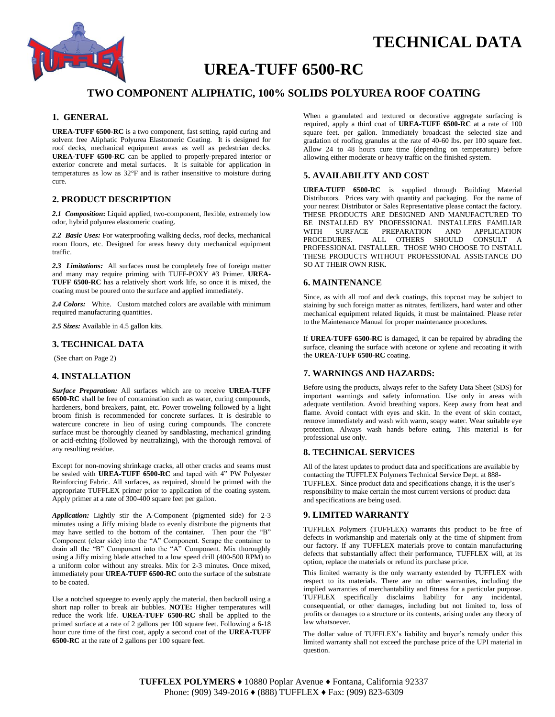

# **TECHNICAL DATA**

## **UREA-TUFF 6500-RC**

## **TWO COMPONENT ALIPHATIC, 100% SOLIDS POLYUREA ROOF COATING**

#### **1. GENERAL**

**UREA-TUFF 6500-RC** is a two component, fast setting, rapid curing and solvent free Aliphatic Polyurea Elastomeric Coating. It is designed for roof decks, mechanical equipment areas as well as pedestrian decks. **UREA-TUFF 6500-RC** can be applied to properly-prepared interior or exterior concrete and metal surfaces. It is suitable for application in temperatures as low as 32°F and is rather insensitive to moisture during cure.

## **2. PRODUCT DESCRIPTION**

*2.1 Composition***:** Liquid applied, two-component, flexible, extremely low odor, hybrid polyurea elastomeric coating.

*2.2 Basic Uses:* For waterproofing walking decks, roof decks, mechanical room floors, etc. Designed for areas heavy duty mechanical equipment traffic.

*2.3 Limitations:* All surfaces must be completely free of foreign matter and many may require priming with TUFF-POXY #3 Primer. **UREA-TUFF 6500-RC** has a relatively short work life, so once it is mixed, the coating must be poured onto the surface and applied immediately.

*2.4 Colors:* White. Custom matched colors are available with minimum required manufacturing quantities.

*2.5 Sizes:* Available in 4.5 gallon kits.

#### **3. TECHNICAL DATA**

(See chart on Page 2)

#### **4. INSTALLATION**

*Surface Preparation:* All surfaces which are to receive **UREA-TUFF 6500-RC** shall be free of contamination such as water, curing compounds, hardeners, bond breakers, paint, etc. Power troweling followed by a light broom finish is recommended for concrete surfaces. It is desirable to watercure concrete in lieu of using curing compounds. The concrete surface must be thoroughly cleaned by sandblasting, mechanical grinding or acid-etching (followed by neutralizing), with the thorough removal of any resulting residue.

Except for non-moving shrinkage cracks, all other cracks and seams must be sealed with **UREA-TUFF 6500-RC** and taped with 4" PW Polyester Reinforcing Fabric. All surfaces, as required, should be primed with the appropriate TUFFLEX primer prior to application of the coating system. Apply primer at a rate of 300-400 square feet per gallon.

*Application:* Lightly stir the A-Component (pigmented side) for 2-3 minutes using a Jiffy mixing blade to evenly distribute the pigments that may have settled to the bottom of the container. Then pour the "B" Component (clear side) into the "A" Component. Scrape the container to drain all the "B" Component into the "A" Component. Mix thoroughly using a Jiffy mixing blade attached to a low speed drill (400-500 RPM) to a uniform color without any streaks. Mix for 2-3 minutes. Once mixed, immediately pour **UREA-TUFF 6500-RC** onto the surface of the substrate to be coated.

Use a notched squeegee to evenly apply the material, then backroll using a short nap roller to break air bubbles. **NOTE:** Higher temperatures will reduce the work life. **UREA-TUFF 6500-RC** shall be applied to the primed surface at a rate of 2 gallons per 100 square feet. Following a 6-18 hour cure time of the first coat, apply a second coat of the **UREA-TUFF 6500-RC** at the rate of 2 gallons per 100 square feet.

When a granulated and textured or decorative aggregate surfacing is required, apply a third coat of **UREA-TUFF 6500-RC** at a rate of 100 square feet. per gallon. Immediately broadcast the selected size and gradation of roofing granules at the rate of 40-60 lbs. per 100 square feet. Allow 24 to 48 hours cure time (depending on temperature) before allowing either moderate or heavy traffic on the finished system.

#### **5. AVAILABILITY AND COST**

**UREA-TUFF 6500-RC** is supplied through Building Material Distributors. Prices vary with quantity and packaging. For the name of your nearest Distributor or Sales Representative please contact the factory. THESE PRODUCTS ARE DESIGNED AND MANUFACTURED TO BE INSTALLED BY PROFESSIONAL INSTALLERS FAMILIAR WITH SURFACE PREPARATION AND APPLICATION<br>PROCEDURES. ALL OTHERS SHOULD CONSULT A ALL OTHERS SHOULD CONSULT A PROFESSIONAL INSTALLER. THOSE WHO CHOOSE TO INSTALL THESE PRODUCTS WITHOUT PROFESSIONAL ASSISTANCE DO SO AT THEIR OWN RISK.

### **6. MAINTENANCE**

Since, as with all roof and deck coatings, this topcoat may be subject to staining by such foreign matter as nitrates, fertilizers, hard water and other mechanical equipment related liquids, it must be maintained. Please refer to the Maintenance Manual for proper maintenance procedures.

If **UREA-TUFF 6500-RC** is damaged, it can be repaired by abrading the surface, cleaning the surface with acetone or xylene and recoating it with the **UREA-TUFF 6500-RC** coating.

## **7. WARNINGS AND HAZARDS:**

Before using the products, always refer to the Safety Data Sheet (SDS) for important warnings and safety information. Use only in areas with adequate ventilation. Avoid breathing vapors. Keep away from heat and flame. Avoid contact with eyes and skin. In the event of skin contact, remove immediately and wash with warm, soapy water. Wear suitable eye protection. Always wash hands before eating. This material is for professional use only.

## **8. TECHNICAL SERVICES**

All of the latest updates to product data and specifications are available by contacting the TUFFLEX Polymers Technical Service Dept. at 888- TUFFLEX. Since product data and specifications change, it is the user's responsibility to make certain the most current versions of product data and specifications are being used.

### **9. LIMITED WARRANTY**

TUFFLEX Polymers (TUFFLEX) warrants this product to be free of defects in workmanship and materials only at the time of shipment from our factory. If any TUFFLEX materials prove to contain manufacturing defects that substantially affect their performance, TUFFLEX will, at its option, replace the materials or refund its purchase price.

This limited warranty is the only warranty extended by TUFFLEX with respect to its materials. There are no other warranties, including the implied warranties of merchantability and fitness for a particular purpose. TUFFLEX specifically disclaims liability for any incidental, consequential, or other damages, including but not limited to, loss of profits or damages to a structure or its contents, arising under any theory of law whatsoever.

The dollar value of TUFFLEX's liability and buyer's remedy under this limited warranty shall not exceed the purchase price of the UPI material in question.